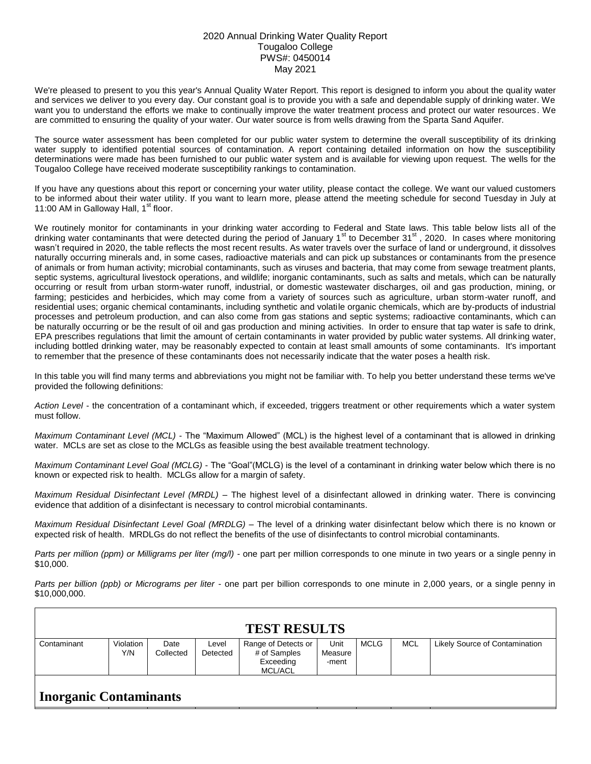## 2020 Annual Drinking Water Quality Report Tougaloo College PWS#: 0450014 May 2021

We're pleased to present to you this year's Annual Quality Water Report. This report is designed to inform you about the quality water and services we deliver to you every day. Our constant goal is to provide you with a safe and dependable supply of drinking water. We want you to understand the efforts we make to continually improve the water treatment process and protect our water resources. We are committed to ensuring the quality of your water. Our water source is from wells drawing from the Sparta Sand Aquifer.

The source water assessment has been completed for our public water system to determine the overall susceptibility of its drinking water supply to identified potential sources of contamination. A report containing detailed information on how the susceptibility determinations were made has been furnished to our public water system and is available for viewing upon request. The wells for the Tougaloo College have received moderate susceptibility rankings to contamination.

If you have any questions about this report or concerning your water utility, please contact the college. We want our valued customers to be informed about their water utility. If you want to learn more, please attend the meeting schedule for second Tuesday in July at 11:00 AM in Galloway Hall,  $1<sup>st</sup>$  floor.

We routinely monitor for contaminants in your drinking water according to Federal and State laws. This table below lists all of the drinking water contaminants that were detected during the period of January 1<sup>st</sup> to December 31<sup>st</sup>, 2020. In cases where monitoring wasn't required in 2020, the table reflects the most recent results. As water travels over the surface of land or underground, it dissolves naturally occurring minerals and, in some cases, radioactive materials and can pick up substances or contaminants from the presence of animals or from human activity; microbial contaminants, such as viruses and bacteria, that may come from sewage treatment plants, septic systems, agricultural livestock operations, and wildlife; inorganic contaminants, such as salts and metals, which can be naturally occurring or result from urban storm-water runoff, industrial, or domestic wastewater discharges, oil and gas production, mining, or farming; pesticides and herbicides, which may come from a variety of sources such as agriculture, urban storm-water runoff, and residential uses; organic chemical contaminants, including synthetic and volatile organic chemicals, which are by-products of industrial processes and petroleum production, and can also come from gas stations and septic systems; radioactive contaminants, which can be naturally occurring or be the result of oil and gas production and mining activities. In order to ensure that tap water is safe to drink, EPA prescribes regulations that limit the amount of certain contaminants in water provided by public water systems. All drinking water, including bottled drinking water, may be reasonably expected to contain at least small amounts of some contaminants. It's important to remember that the presence of these contaminants does not necessarily indicate that the water poses a health risk.

In this table you will find many terms and abbreviations you might not be familiar with. To help you better understand these terms we've provided the following definitions:

*Action Level* - the concentration of a contaminant which, if exceeded, triggers treatment or other requirements which a water system must follow.

*Maximum Contaminant Level (MCL)* - The "Maximum Allowed" (MCL) is the highest level of a contaminant that is allowed in drinking water. MCLs are set as close to the MCLGs as feasible using the best available treatment technology.

*Maximum Contaminant Level Goal (MCLG)* - The "Goal"(MCLG) is the level of a contaminant in drinking water below which there is no known or expected risk to health. MCLGs allow for a margin of safety.

*Maximum Residual Disinfectant Level (MRDL)* – The highest level of a disinfectant allowed in drinking water. There is convincing evidence that addition of a disinfectant is necessary to control microbial contaminants.

*Maximum Residual Disinfectant Level Goal (MRDLG)* – The level of a drinking water disinfectant below which there is no known or expected risk of health. MRDLGs do not reflect the benefits of the use of disinfectants to control microbial contaminants.

*Parts per million (ppm) or Milligrams per liter (mg/l)* - one part per million corresponds to one minute in two years or a single penny in \$10,000.

*Parts per billion (ppb) or Micrograms per liter* - one part per billion corresponds to one minute in 2,000 years, or a single penny in \$10,000,000.

| <b>TEST RESULTS</b>           |                  |                   |                   |                                                                    |                          |             |     |                                       |  |  |  |  |  |
|-------------------------------|------------------|-------------------|-------------------|--------------------------------------------------------------------|--------------------------|-------------|-----|---------------------------------------|--|--|--|--|--|
| Contaminant                   | Violation<br>Y/N | Date<br>Collected | Level<br>Detected | Range of Detects or<br># of Samples<br>Exceeding<br><b>MCL/ACL</b> | Unit<br>Measure<br>-ment | <b>MCLG</b> | MCL | <b>Likely Source of Contamination</b> |  |  |  |  |  |
| <b>Inorganic Contaminants</b> |                  |                   |                   |                                                                    |                          |             |     |                                       |  |  |  |  |  |